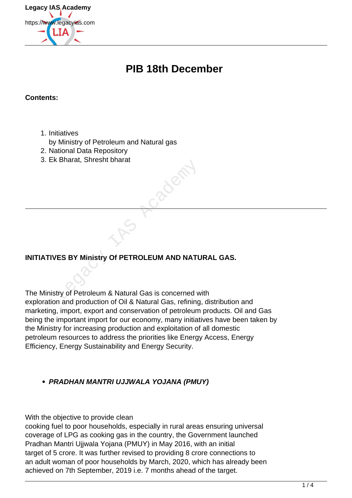

# **PIB 18th December**

#### **Contents:**

- 1. Initiatives
	- by Ministry of Petroleum and Natural gas
- 2. National Data Repository
- 3. Ek Bharat, Shresht bharat

## **INITIATIVES BY Ministry Of PETROLEUM AND NATURAL GAS.**

The Ministry of Petroleum & Natural Gas is concerned with exploration and production of Oil & Natural Gas, refining, distribution and marketing, import, export and conservation of petroleum products. Oil and Gas being the important import for our economy, many initiatives have been taken by the Ministry for increasing production and exploitation of all domestic petroleum resources to address the priorities like Energy Access, Energy Efficiency, Energy Sustainability and Energy Security. ES BY Ministry Of PETROLEUM AND NATUTE OF PERROLEUM AND NATUTE OF PERROLEUM AND NATUTE OF PERROLEUM AND NATUTE OF PERROLEUM AND NATURE OF PERROLEUM AND NATURE OF PERROLEUM AND NATURE OF PERROLEUM AND NATURE OF PERROLEUM AN

## **PRADHAN MANTRI UJJWALA YOJANA (PMUY)**

With the objective to provide clean

cooking fuel to poor households, especially in rural areas ensuring universal coverage of LPG as cooking gas in the country, the Government launched Pradhan Mantri Ujjwala Yojana (PMUY) in May 2016, with an initial target of 5 crore. It was further revised to providing 8 crore connections to an adult woman of poor households by March, 2020, which has already been achieved on 7th September, 2019 i.e. 7 months ahead of the target.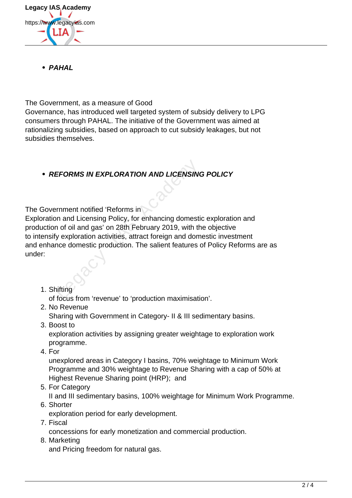

### **PAHAL**

The Government, as a measure of Good

Governance, has introduced well targeted system of subsidy delivery to LPG consumers through PAHAL. The initiative of the Government was aimed at rationalizing subsidies, based on approach to cut subsidy leakages, but not subsidies themselves.

# **REFORMS IN EXPLORATION AND LICENSING POLICY**

The Government notified 'Reforms in

Exploration and Licensing Policy, for enhancing domestic exploration and production of oil and gas' on 28th February 2019, with the objective to intensify exploration activities, attract foreign and domestic investment and enhance domestic production. The salient features of Policy Reforms are as under: EFORMS IN EXPLORATION AND LICENSINE<br>
In and Licensing Policy, for enhancing domestical<br>
in and Licensing Policy, for enhancing domestic<br>
in of oil and gas' on 28th February 2019, with the<br>
y exploration activities, attract

1. Shifting

of focus from 'revenue' to 'production maximisation'.

- 2. No Revenue Sharing with Government in Category- II & III sedimentary basins.
- 3. Boost to

exploration activities by assigning greater weightage to exploration work programme.

4. For

unexplored areas in Category I basins, 70% weightage to Minimum Work Programme and 30% weightage to Revenue Sharing with a cap of 50% at Highest Revenue Sharing point (HRP); and

5. For Category

II and III sedimentary basins, 100% weightage for Minimum Work Programme.

6. Shorter

exploration period for early development.

7. Fiscal

concessions for early monetization and commercial production.

8. Marketing and Pricing freedom for natural gas.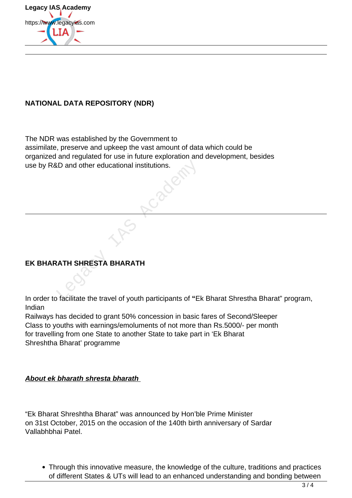

## **NATIONAL DATA REPOSITORY (NDR)**

The NDR was established by the Government to assimilate, preserve and upkeep the vast amount of data which could be organized and regulated for use in future exploration and development, besides use by R&D and other educational institutions. Legacy II and other educational institutions.

# **EK BHARATH SHRESTA BHARATH**

In order to facilitate the travel of youth participants of **"**Ek Bharat Shrestha Bharat" program, Indian

Railways has decided to grant 50% concession in basic fares of Second/Sleeper Class to youths with earnings/emoluments of not more than Rs.5000/- per month for travelling from one State to another State to take part in 'Ek Bharat Shreshtha Bharat' programme

#### **About ek bharath shresta bharath**

"Ek Bharat Shreshtha Bharat" was announced by Hon'ble Prime Minister on 31st October, 2015 on the occasion of the 140th birth anniversary of Sardar Vallabhbhai Patel.

Through this innovative measure, the knowledge of the culture, traditions and practices of different States & UTs will lead to an enhanced understanding and bonding between